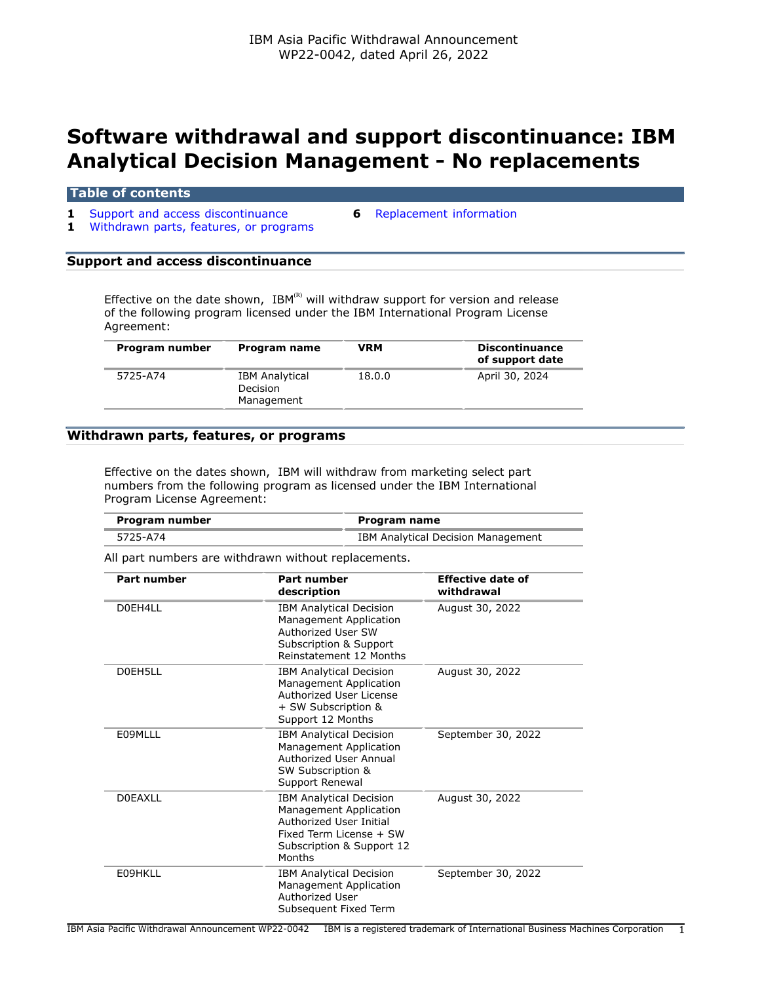# **Software withdrawal and support discontinuance: IBM Analytical Decision Management - No replacements**

#### **Table of contents**

- **1** [Support and access discontinuance](#page-0-0) **6** [Replacement information](#page-5-0)
	-
- **1** [Withdrawn parts, features, or programs](#page-0-1)

#### <span id="page-0-0"></span>**Support and access discontinuance**

Effective on the date shown, IBM(R) will withdraw support for version and release of the following program licensed under the IBM International Program License Agreement:

| Program number | Program name                                    | VRM    | <b>Discontinuance</b><br>of support date |
|----------------|-------------------------------------------------|--------|------------------------------------------|
| 5725-A74       | <b>IBM Analytical</b><br>Decision<br>Management | 18.0.0 | April 30, 2024                           |

#### <span id="page-0-1"></span>**Withdrawn parts, features, or programs**

Effective on the dates shown, IBM will withdraw from marketing select part numbers from the following program as licensed under the IBM International Program License Agreement:

| Program number | Program name                       |
|----------------|------------------------------------|
| 5725-A74       | IBM Analytical Decision Management |

All part numbers are withdrawn without replacements.

| <b>Part number</b> | <b>Part number</b><br>description                                                                                                                     | <b>Effective date of</b><br>withdrawal |
|--------------------|-------------------------------------------------------------------------------------------------------------------------------------------------------|----------------------------------------|
| D0EH4LL            | <b>IBM Analytical Decision</b><br>Management Application<br>Authorized User SW<br>Subscription & Support<br>Reinstatement 12 Months                   | August 30, 2022                        |
| D0EH5LL            | <b>IBM Analytical Decision</b><br>Management Application<br>Authorized User License<br>+ SW Subscription &<br>Support 12 Months                       | August 30, 2022                        |
| F09MLLL            | <b>IBM Analytical Decision</b><br>Management Application<br>Authorized User Annual<br>SW Subscription &<br>Support Renewal                            | September 30, 2022                     |
| DOFAXLL            | <b>IBM Analytical Decision</b><br>Management Application<br>Authorized User Initial<br>Fixed Term License + SW<br>Subscription & Support 12<br>Months | August 30, 2022                        |
| E09HKLL            | <b>IBM Analytical Decision</b><br>Management Application<br>Authorized User<br>Subsequent Fixed Term                                                  | September 30, 2022                     |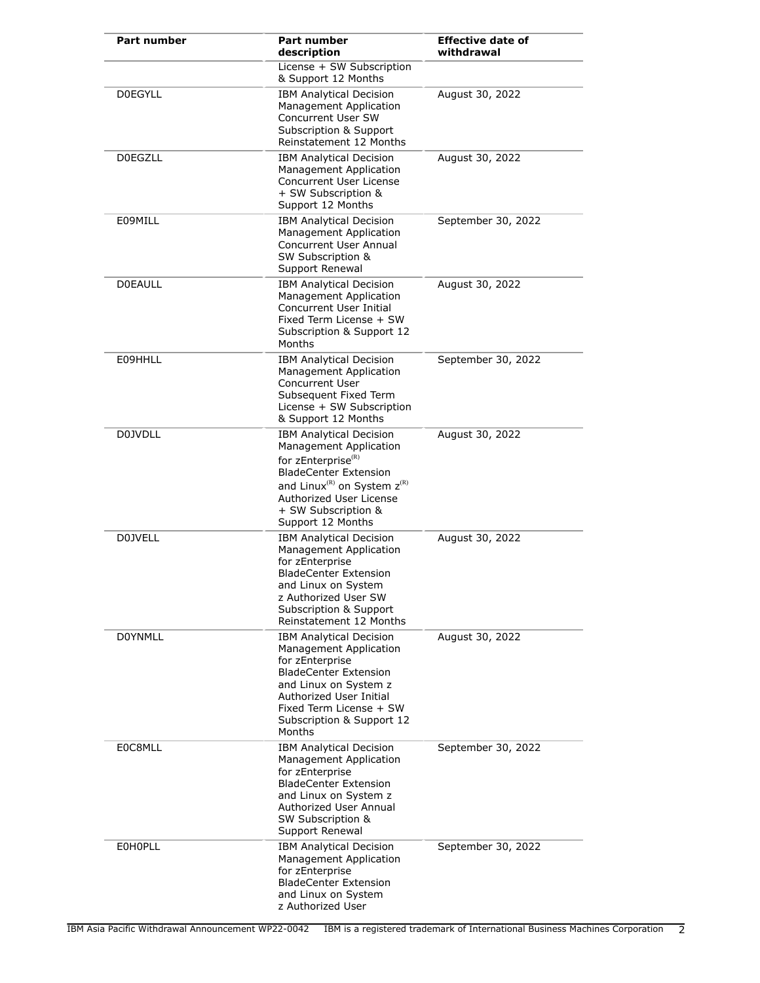| <b>Part number</b> | Part number<br>description                                                                                                                                                                                                                               | <b>Effective date of</b><br>withdrawal |
|--------------------|----------------------------------------------------------------------------------------------------------------------------------------------------------------------------------------------------------------------------------------------------------|----------------------------------------|
|                    | License + SW Subscription<br>& Support 12 Months                                                                                                                                                                                                         |                                        |
| <b>DOEGYLL</b>     | <b>IBM Analytical Decision</b><br>Management Application<br>Concurrent User SW<br>Subscription & Support<br>Reinstatement 12 Months                                                                                                                      | August 30, 2022                        |
| <b>D0EGZLL</b>     | <b>IBM Analytical Decision</b><br>Management Application<br>Concurrent User License<br>+ SW Subscription &<br>Support 12 Months                                                                                                                          | August 30, 2022                        |
| E09MILL            | <b>IBM Analytical Decision</b><br>Management Application<br>Concurrent User Annual<br>SW Subscription &<br>Support Renewal                                                                                                                               | September 30, 2022                     |
| <b>DOEAULL</b>     | <b>IBM Analytical Decision</b><br>Management Application<br>Concurrent User Initial<br>Fixed Term License + SW<br>Subscription & Support 12<br>Months                                                                                                    | August 30, 2022                        |
| E09HHLL            | <b>IBM Analytical Decision</b><br>Management Application<br><b>Concurrent User</b><br>Subsequent Fixed Term<br>License + SW Subscription<br>& Support 12 Months                                                                                          | September 30, 2022                     |
| D0JVDLL            | <b>IBM Analytical Decision</b><br>Management Application<br>for zEnterprise <sup>(R)</sup><br><b>BladeCenter Extension</b><br>and Linux <sup>(R)</sup> on System z <sup>(R)</sup><br>Authorized User License<br>+ SW Subscription &<br>Support 12 Months | August 30, 2022                        |
| <b>D0JVELL</b>     | <b>IBM Analytical Decision</b><br><b>Management Application</b><br>for zEnterprise<br><b>BladeCenter Extension</b><br>and Linux on System<br>z Authorized User SW<br><b>Subscription &amp; Support</b><br>Reinstatement 12 Months                        | August 30, 2022                        |
| <b>DOYNMLL</b>     | <b>IBM Analytical Decision</b><br><b>Management Application</b><br>for zEnterprise<br><b>BladeCenter Extension</b><br>and Linux on System z<br>Authorized User Initial<br>Fixed Term License + SW<br>Subscription & Support 12<br>Months                 | August 30, 2022                        |
| E0C8MLL            | <b>IBM Analytical Decision</b><br>Management Application<br>for zEnterprise<br><b>BladeCenter Extension</b><br>and Linux on System z<br>Authorized User Annual<br>SW Subscription &<br>Support Renewal                                                   | September 30, 2022                     |
| <b>EOHOPLL</b>     | <b>IBM Analytical Decision</b><br><b>Management Application</b><br>for zEnterprise<br><b>BladeCenter Extension</b><br>and Linux on System<br>z Authorized User                                                                                           | September 30, 2022                     |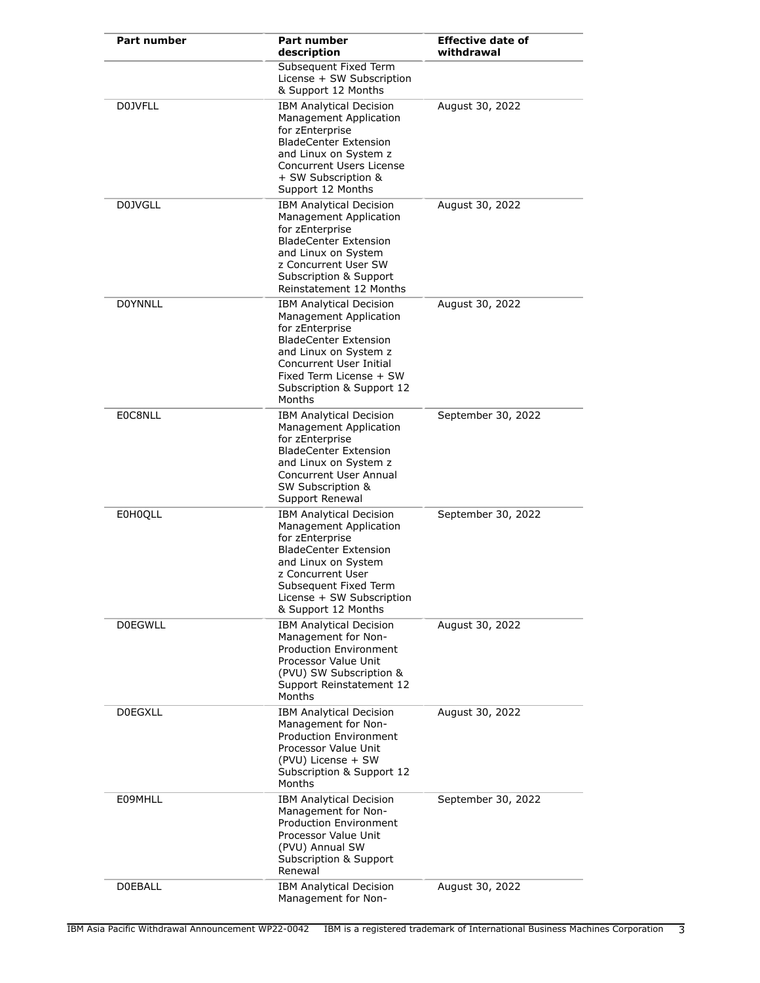| Part number    | Part number<br>description                                                                                                                                                                                                               | <b>Effective date of</b><br>withdrawal |
|----------------|------------------------------------------------------------------------------------------------------------------------------------------------------------------------------------------------------------------------------------------|----------------------------------------|
|                | Subsequent Fixed Term<br>License + SW Subscription<br>& Support 12 Months                                                                                                                                                                |                                        |
| <b>D0JVFLL</b> | <b>IBM Analytical Decision</b><br>Management Application<br>for zEnterprise<br><b>BladeCenter Extension</b><br>and Linux on System z<br>Concurrent Users License<br>+ SW Subscription &<br>Support 12 Months                             | August 30, 2022                        |
| D0JVGLL        | <b>IBM Analytical Decision</b><br>Management Application<br>for zEnterprise<br><b>BladeCenter Extension</b><br>and Linux on System<br>z Concurrent User SW<br>Subscription & Support<br>Reinstatement 12 Months                          | August 30, 2022                        |
| <b>DOYNNLL</b> | <b>IBM Analytical Decision</b><br>Management Application<br>for zEnterprise<br><b>BladeCenter Extension</b><br>and Linux on System z<br><b>Concurrent User Initial</b><br>Fixed Term License + SW<br>Subscription & Support 12<br>Months | August 30, 2022                        |
| E0C8NLL        | <b>IBM Analytical Decision</b><br>Management Application<br>for zEnterprise<br><b>BladeCenter Extension</b><br>and Linux on System z<br><b>Concurrent User Annual</b><br>SW Subscription &<br>Support Renewal                            | September 30, 2022                     |
| <b>E0H0QLL</b> | <b>IBM Analytical Decision</b><br>Management Application<br>for zEnterprise<br><b>BladeCenter Extension</b><br>and Linux on System<br>z Concurrent User<br>Subsequent Fixed Term<br>License + SW Subscription<br>& Support 12 Months     | September 30, 2022                     |
| <b>D0EGWLL</b> | <b>IBM Analytical Decision</b><br>Management for Non-<br><b>Production Environment</b><br>Processor Value Unit<br>(PVU) SW Subscription &<br>Support Reinstatement 12<br>Months                                                          | August 30, 2022                        |
| <b>DOEGXLL</b> | <b>IBM Analytical Decision</b><br>Management for Non-<br><b>Production Environment</b><br>Processor Value Unit<br>(PVU) License + SW<br>Subscription & Support 12<br>Months                                                              | August 30, 2022                        |
| E09MHLL        | <b>IBM Analytical Decision</b><br>Management for Non-<br><b>Production Environment</b><br>Processor Value Unit<br>(PVU) Annual SW<br>Subscription & Support<br>Renewal                                                                   | September 30, 2022                     |
| <b>DOEBALL</b> | <b>IBM Analytical Decision</b><br>Management for Non-                                                                                                                                                                                    | August 30, 2022                        |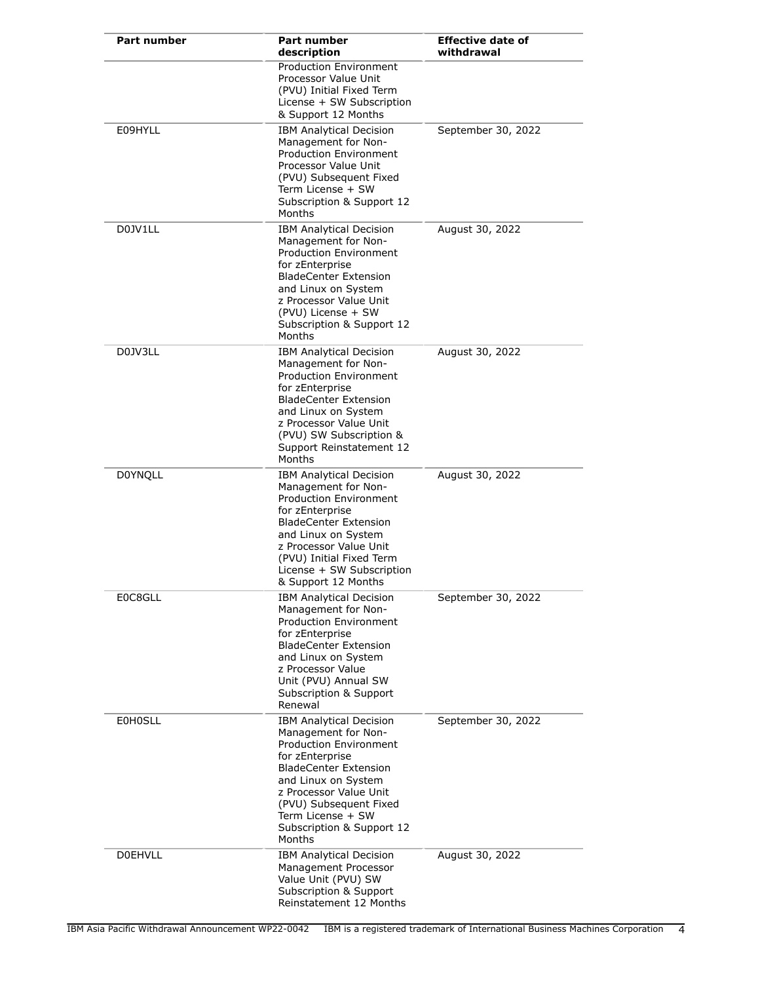| <b>Part number</b> | <b>Part number</b><br>description                                                                                                                                                                                                                                                | <b>Effective date of</b><br>withdrawal |
|--------------------|----------------------------------------------------------------------------------------------------------------------------------------------------------------------------------------------------------------------------------------------------------------------------------|----------------------------------------|
|                    | <b>Production Environment</b><br>Processor Value Unit<br>(PVU) Initial Fixed Term<br>License + SW Subscription<br>& Support 12 Months                                                                                                                                            |                                        |
| E09HYLL            | <b>IBM Analytical Decision</b><br>Management for Non-<br><b>Production Environment</b><br>Processor Value Unit<br>(PVU) Subsequent Fixed<br>Term License + SW<br>Subscription & Support 12<br>Months                                                                             | September 30, 2022                     |
| D0JV1LL            | <b>IBM Analytical Decision</b><br>Management for Non-<br><b>Production Environment</b><br>for zEnterprise<br><b>BladeCenter Extension</b><br>and Linux on System<br>z Processor Value Unit<br>(PVU) License + SW<br>Subscription & Support 12<br>Months                          | August 30, 2022                        |
| D0JV3LL            | <b>IBM Analytical Decision</b><br>Management for Non-<br><b>Production Environment</b><br>for zEnterprise<br><b>BladeCenter Extension</b><br>and Linux on System<br>z Processor Value Unit<br>(PVU) SW Subscription &<br>Support Reinstatement 12<br>Months                      | August 30, 2022                        |
| <b>DOYNQLL</b>     | <b>IBM Analytical Decision</b><br>Management for Non-<br>Production Environment<br>for zEnterprise<br><b>BladeCenter Extension</b><br>and Linux on System<br>z Processor Value Unit<br>(PVU) Initial Fixed Term<br>License + SW Subscription<br>& Support 12 Months              | August 30, 2022                        |
| E0C8GLL            | <b>IBM Analytical Decision</b><br>Management for Non-<br><b>Production Environment</b><br>for zEnterprise<br><b>BladeCenter Extension</b><br>and Linux on System<br>z Processor Value<br>Unit (PVU) Annual SW<br>Subscription & Support<br>Renewal                               | September 30, 2022                     |
| <b>EOHOSLL</b>     | <b>IBM Analytical Decision</b><br>Management for Non-<br><b>Production Environment</b><br>for zEnterprise<br><b>BladeCenter Extension</b><br>and Linux on System<br>z Processor Value Unit<br>(PVU) Subsequent Fixed<br>Term License + SW<br>Subscription & Support 12<br>Months | September 30, 2022                     |
| <b>DOEHVLL</b>     | <b>IBM Analytical Decision</b><br>Management Processor<br>Value Unit (PVU) SW<br>Subscription & Support<br>Reinstatement 12 Months                                                                                                                                               | August 30, 2022                        |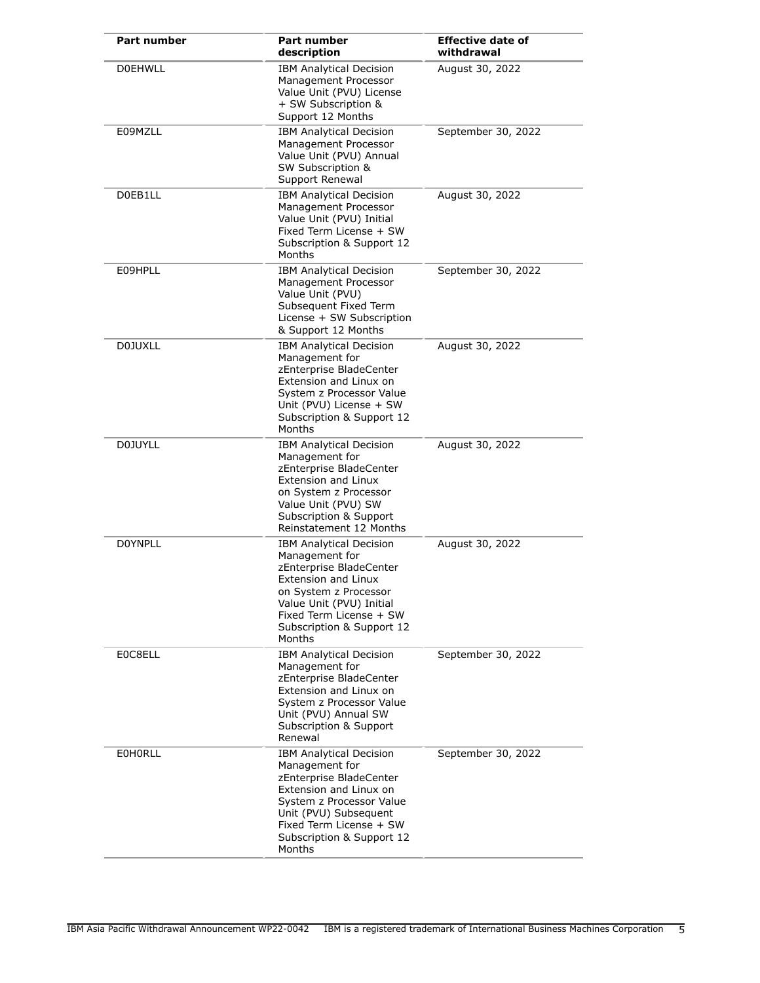| <b>Part number</b> | <b>Part number</b><br>description                                                                                                                                                                                                | <b>Effective date of</b><br>withdrawal |
|--------------------|----------------------------------------------------------------------------------------------------------------------------------------------------------------------------------------------------------------------------------|----------------------------------------|
| <b>DOEHWLL</b>     | <b>IBM Analytical Decision</b><br>Management Processor<br>Value Unit (PVU) License<br>+ SW Subscription &<br>Support 12 Months                                                                                                   | August 30, 2022                        |
| E09MZLL            | <b>IBM Analytical Decision</b><br>Management Processor<br>Value Unit (PVU) Annual<br>SW Subscription &<br>Support Renewal                                                                                                        | September 30, 2022                     |
| D0EB1LL            | <b>IBM Analytical Decision</b><br>Management Processor<br>Value Unit (PVU) Initial<br>Fixed Term License + SW<br>Subscription & Support 12<br>Months                                                                             | August 30, 2022                        |
| E09HPLL            | <b>IBM Analytical Decision</b><br>Management Processor<br>Value Unit (PVU)<br>Subsequent Fixed Term<br>License + SW Subscription<br>& Support 12 Months                                                                          | September 30, 2022                     |
| <b>D0JUXLL</b>     | <b>IBM Analytical Decision</b><br>Management for<br>zEnterprise BladeCenter<br>Extension and Linux on<br>System z Processor Value<br>Unit (PVU) License + SW<br>Subscription & Support 12<br>Months                              | August 30, 2022                        |
| <b>D0JUYLL</b>     | <b>IBM Analytical Decision</b><br>Management for<br>zEnterprise BladeCenter<br>Extension and Linux<br>on System z Processor<br>Value Unit (PVU) SW<br>Subscription & Support<br>Reinstatement 12 Months                          | August 30, 2022                        |
| <b>DOYNPLL</b>     | <b>IBM Analytical Decision</b><br>Management for<br>zEnterprise BladeCenter<br><b>Extension and Linux</b><br>on System z Processor<br>Value Unit (PVU) Initial<br>Fixed Term License + SW<br>Subscription & Support 12<br>Months | August 30, 2022                        |
| E0C8ELL            | <b>IBM Analytical Decision</b><br>Management for<br>zEnterprise BladeCenter<br>Extension and Linux on<br>System z Processor Value<br>Unit (PVU) Annual SW<br>Subscription & Support<br>Renewal                                   | September 30, 2022                     |
| <b>EOHORLL</b>     | <b>IBM Analytical Decision</b><br>Management for<br>zEnterprise BladeCenter<br>Extension and Linux on<br>System z Processor Value<br>Unit (PVU) Subsequent<br>Fixed Term License + SW<br>Subscription & Support 12<br>Months     | September 30, 2022                     |